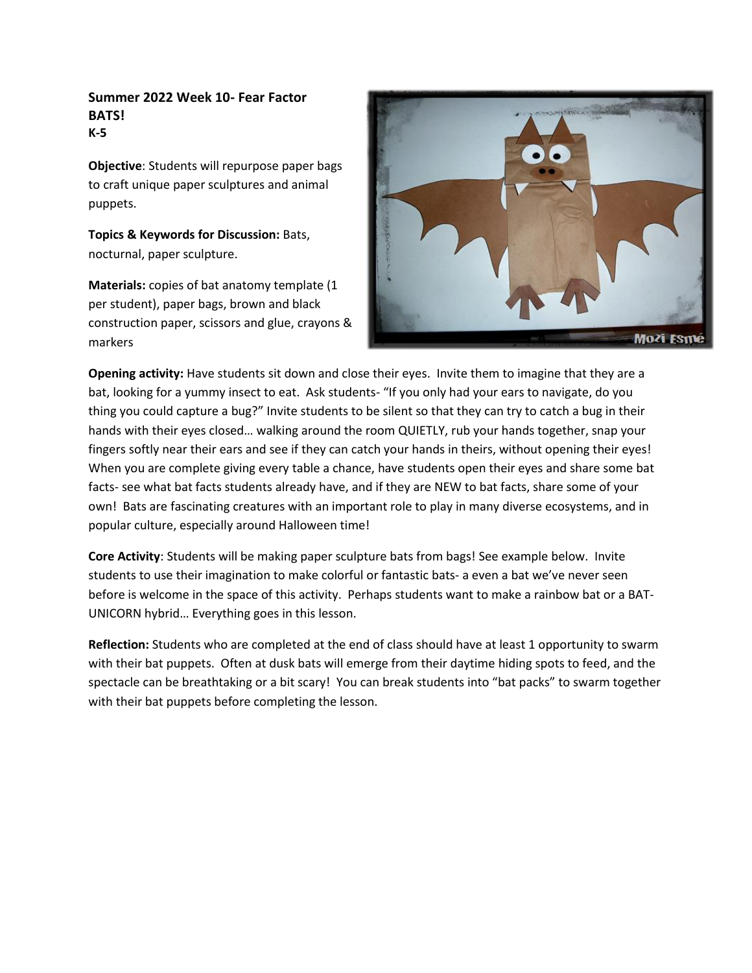## **Summer 2022 Week 10- Fear Factor BATS! K-5**

**Objective**: Students will repurpose paper bags to craft unique paper sculptures and animal puppets.

**Topics & Keywords for Discussion:** Bats, nocturnal, paper sculpture.

**Materials:** copies of bat anatomy template (1 per student), paper bags, brown and black construction paper, scissors and glue, crayons & markers



**Opening activity:** Have students sit down and close their eyes. Invite them to imagine that they are a bat, looking for a yummy insect to eat. Ask students- "If you only had your ears to navigate, do you thing you could capture a bug?" Invite students to be silent so that they can try to catch a bug in their hands with their eyes closed… walking around the room QUIETLY, rub your hands together, snap your fingers softly near their ears and see if they can catch your hands in theirs, without opening their eyes! When you are complete giving every table a chance, have students open their eyes and share some bat facts- see what bat facts students already have, and if they are NEW to bat facts, share some of your own! Bats are fascinating creatures with an important role to play in many diverse ecosystems, and in popular culture, especially around Halloween time!

**Core Activity**: Students will be making paper sculpture bats from bags! See example below. Invite students to use their imagination to make colorful or fantastic bats- a even a bat we've never seen before is welcome in the space of this activity. Perhaps students want to make a rainbow bat or a BAT-UNICORN hybrid… Everything goes in this lesson.

**Reflection:** Students who are completed at the end of class should have at least 1 opportunity to swarm with their bat puppets. Often at dusk bats will emerge from their daytime hiding spots to feed, and the spectacle can be breathtaking or a bit scary! You can break students into "bat packs" to swarm together with their bat puppets before completing the lesson.